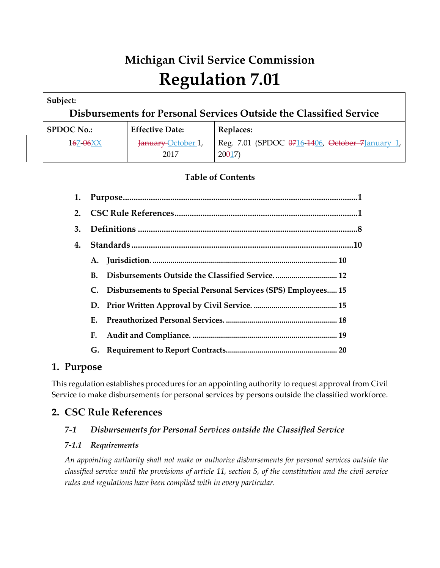# **Michigan Civil Service Commission Regulation 7.01**

| Subject:          |                            | Disbursements for Personal Services Outside the Classified Service |
|-------------------|----------------------------|--------------------------------------------------------------------|
| <b>SPDOC No.:</b> | <b>Effective Date:</b>     | <b>Replaces:</b>                                                   |
| $167 - 06XX$      | January October 1,<br>2017 | Reg. 7.01 (SPDOC 0716-1406, October 7January 1,<br>20017           |

# **Table of Contents**

| 1. |    |                                                               |
|----|----|---------------------------------------------------------------|
| 2. |    |                                                               |
| 3. |    |                                                               |
| 4. |    |                                                               |
|    | A. |                                                               |
|    | В. | Disbursements Outside the Classified Service 12               |
|    | C. | Disbursements to Special Personal Services (SPS) Employees 15 |
|    |    |                                                               |
|    | F. |                                                               |
|    | Е. |                                                               |
|    | G. |                                                               |

# **1. Purpose**

This regulation establishes procedures for an appointing authority to request approval from Civil Service to make disbursements for personal services by persons outside the classified workforce.

# **2. CSC Rule References**

# *7-1 Disbursements for Personal Services outside the Classified Service*

# *7-1.1 Requirements*

*An appointing authority shall not make or authorize disbursements for personal services outside the classified service until the provisions of article 11, section 5, of the constitution and the civil service rules and regulations have been complied with in every particular.*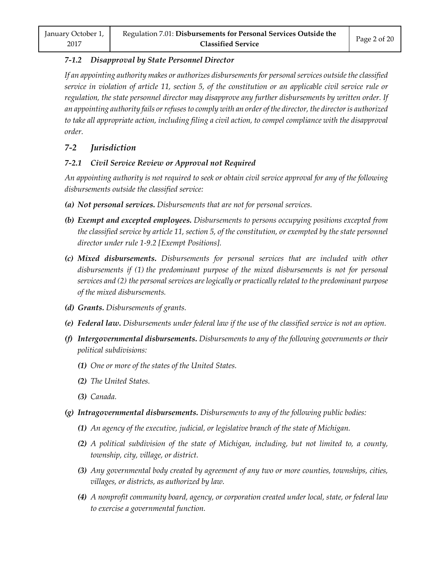#### *7-1.2 Disapproval by State Personnel Director*

*If an appointing authority makes or authorizes disbursements for personal services outside the classified service in violation of article 11, section 5, of the constitution or an applicable civil service rule or regulation, the state personnel director may disapprove any further disbursements by written order. If an appointing authority fails or refuses to comply with an order of the director, the director is authorized to take all appropriate action, including filing a civil action, to compel compliance with the disapproval order.*

# *7-2 Jurisdiction*

# *7-2.1 Civil Service Review or Approval not Required*

*An appointing authority is not required to seek or obtain civil service approval for any of the following disbursements outside the classified service:*

- *(a) Not personal services. Disbursements that are not for personal services.*
- *(b) Exempt and excepted employees. Disbursements to persons occupying positions excepted from the classified service by article 11, section 5, of the constitution, or exempted by the state personnel director under rule 1-9.2 [Exempt Positions].*
- *(c) Mixed disbursements. Disbursements for personal services that are included with other disbursements if (1) the predominant purpose of the mixed disbursements is not for personal services and (2) the personal services are logically or practically related to the predominant purpose of the mixed disbursements.*
- *(d) Grants. Disbursements of grants.*
- *(e) Federal law. Disbursements under federal law if the use of the classified service is not an option.*
- *(f) Intergovernmental disbursements. Disbursements to any of the following governments or their political subdivisions:*
	- *(1) One or more of the states of the United States.*
	- *(2) The United States.*
	- *(3) Canada.*
- *(g) Intragovernmental disbursements. Disbursements to any of the following public bodies:*
	- *(1) An agency of the executive, judicial, or legislative branch of the state of Michigan.*
	- *(2) A political subdivision of the state of Michigan, including, but not limited to, a county, township, city, village, or district.*
	- *(3) Any governmental body created by agreement of any two or more counties, townships, cities, villages, or districts, as authorized by law.*
	- *(4) A nonprofit community board, agency, or corporation created under local, state, or federal law to exercise a governmental function.*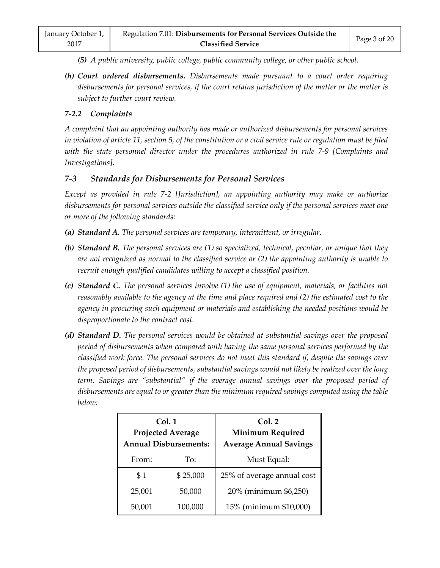*(5) A public university, public college, public community college, or other public school.*

*(h) Court ordered disbursements. Disbursements made pursuant to a court order requiring disbursements for personal services, if the court retains jurisdiction of the matter or the matter is subject to further court review.*

#### *7-2.2 Complaints*

*A complaint that an appointing authority has made or authorized disbursements for personal services in violation of article 11, section 5, of the constitution or a civil service rule or regulation must be filed with the state personnel director under the procedures authorized in rule 7-9 [Complaints and Investigations].*

## *7-3 Standards for Disbursements for Personal Services*

*Except as provided in rule 7-2 [Jurisdiction], an appointing authority may make or authorize disbursements for personal services outside the classified service only if the personal services meet one or more of the following standards:*

- *(a) Standard A. The personal services are temporary, intermittent, or irregular.*
- *(b) Standard B. The personal services are (1) so specialized, technical, peculiar, or unique that they are not recognized as normal to the classified service or (2) the appointing authority is unable to recruit enough qualified candidates willing to accept a classified position.*
- *(c) Standard C. The personal services involve (1) the use of equipment, materials, or facilities not reasonably available to the agency at the time and place required and (2) the estimated cost to the agency in procuring such equipment or materials and establishing the needed positions would be disproportionate to the contract cost.*
- *(d) Standard D. The personal services would be obtained at substantial savings over the proposed period of disbursements when compared with having the same personal services performed by the classified work force. The personal services do not meet this standard if, despite the savings over the proposed period of disbursements, substantial savings would not likely be realized over the long term. Savings are "substantial" if the average annual savings over the proposed period of disbursements are equal to or greater than the minimum required savings computed using the table below:*

| Col.1<br><b>Projected Average</b><br><b>Annual Disbursements:</b> |          | Col. 2<br><b>Minimum Required</b><br><b>Average Annual Savings</b> |
|-------------------------------------------------------------------|----------|--------------------------------------------------------------------|
| From:                                                             | To:      | Must Equal:                                                        |
| \$1                                                               | \$25,000 | 25% of average annual cost                                         |
| 25,001                                                            | 50,000   | 20% (minimum \$6,250)                                              |
| 50,001                                                            | 100,000  | 15% (minimum \$10,000)                                             |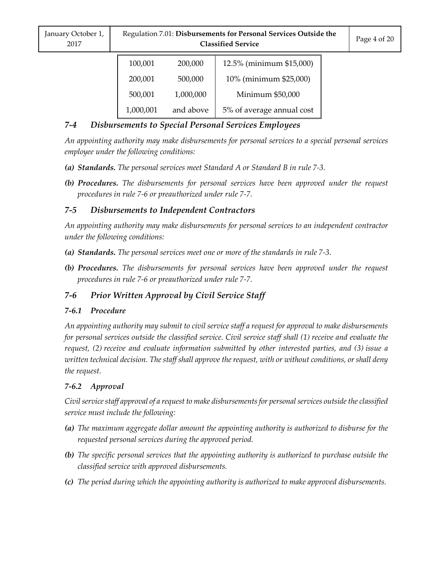| January October 1,<br>2017 | Regulation 7.01: Disbursements for Personal Services Outside the<br><b>Classified Service</b> |           |                           | Page 4 of 20 |
|----------------------------|-----------------------------------------------------------------------------------------------|-----------|---------------------------|--------------|
|                            | 100,001                                                                                       | 200,000   | 12.5% (minimum \$15,000)  |              |
|                            | 200,001                                                                                       | 500,000   | 10% (minimum \$25,000)    |              |
|                            | 500,001                                                                                       | 1,000,000 | Minimum \$50,000          |              |
|                            | 1,000,001                                                                                     | and above | 5% of average annual cost |              |

# *7-4 Disbursements to Special Personal Services Employees*

*An appointing authority may make disbursements for personal services to a special personal services employee under the following conditions:*

- *(a) Standards. The personal services meet Standard A or Standard B in rule 7-3.*
- *(b) Procedures. The disbursements for personal services have been approved under the request procedures in rule 7-6 or preauthorized under rule 7-7.*

# *7-5 Disbursements to Independent Contractors*

*An appointing authority may make disbursements for personal services to an independent contractor under the following conditions:*

- *(a) Standards. The personal services meet one or more of the standards in rule 7-3.*
- *(b) Procedures. The disbursements for personal services have been approved under the request procedures in rule 7-6 or preauthorized under rule 7-7.*

# *7-6 Prior Written Approval by Civil Service Staff*

# *7-6.1 Procedure*

*An appointing authority may submit to civil service staff a request for approval to make disbursements for personal services outside the classified service. Civil service staff shall (1) receive and evaluate the request, (2) receive and evaluate information submitted by other interested parties, and (3) issue a written technical decision. The staff shall approve the request, with or without conditions, or shall deny the request.*

# *7-6.2 Approval*

*Civil service staff approval of a request to make disbursements for personal services outside the classified service must include the following:*

- *(a) The maximum aggregate dollar amount the appointing authority is authorized to disburse for the requested personal services during the approved period.*
- *(b) The specific personal services that the appointing authority is authorized to purchase outside the classified service with approved disbursements.*
- *(c) The period during which the appointing authority is authorized to make approved disbursements.*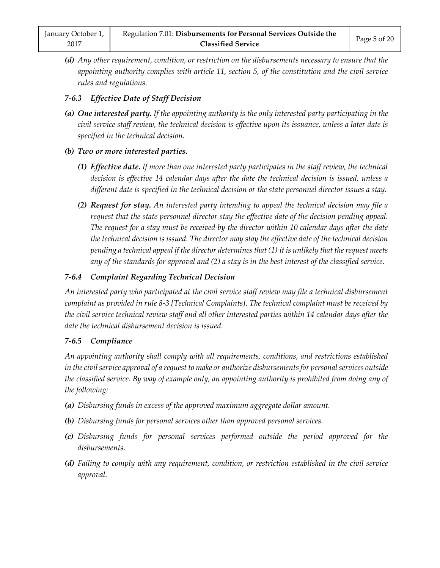*(d) Any other requirement, condition, or restriction on the disbursements necessary to ensure that the appointing authority complies with article 11, section 5, of the constitution and the civil service rules and regulations.*

## *7-6.3 Effective Date of Staff Decision*

*(a) One interested party. If the appointing authority is the only interested party participating in the civil service staff review, the technical decision is effective upon its issuance, unless a later date is specified in the technical decision.*

## *(b) Two or more interested parties.*

- *(1) Effective date. If more than one interested party participates in the staff review, the technical decision is effective 14 calendar days after the date the technical decision is issued, unless a different date is specified in the technical decision or the state personnel director issues a stay.*
- *(2) Request for stay. An interested party intending to appeal the technical decision may file a request that the state personnel director stay the effective date of the decision pending appeal. The request for a stay must be received by the director within 10 calendar days after the date the technical decision is issued. The director may stay the effective date of the technical decision pending a technical appeal if the director determines that (1) it is unlikely that the request meets any of the standards for approval and (2) a stay is in the best interest of the classified service.*

# *7-6.4 Complaint Regarding Technical Decision*

*An interested party who participated at the civil service staff review may file a technical disbursement complaint as provided in rule 8-3 [Technical Complaints]. The technical complaint must be received by the civil service technical review staff and all other interested parties within 14 calendar days after the date the technical disbursement decision is issued.*

# *7-6.5 Compliance*

*An appointing authority shall comply with all requirements, conditions, and restrictions established in the civil service approval of a request to make or authorize disbursements for personal services outside the classified service. By way of example only, an appointing authority is prohibited from doing any of the following:*

- *(a) Disbursing funds in excess of the approved maximum aggregate dollar amount.*
- *(b) Disbursing funds for personal services other than approved personal services.*
- *(c) Disbursing funds for personal services performed outside the period approved for the disbursements.*
- *(d) Failing to comply with any requirement, condition, or restriction established in the civil service approval.*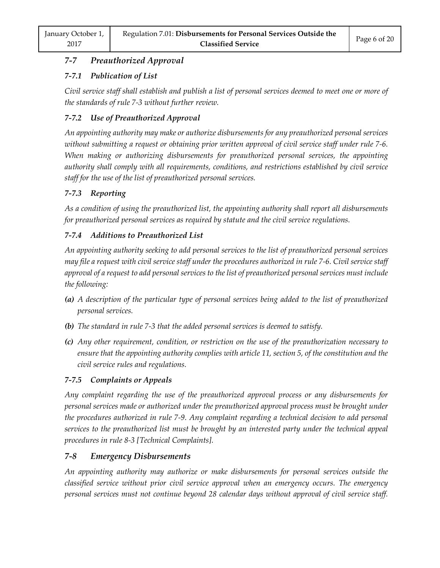# *7-7 Preauthorized Approval*

# *7-7.1 Publication of List*

*Civil service staff shall establish and publish a list of personal services deemed to meet one or more of the standards of rule 7-3 without further review.*

# *7-7.2 Use of Preauthorized Approval*

*An appointing authority may make or authorize disbursements for any preauthorized personal services without submitting a request or obtaining prior written approval of civil service staff under rule 7-6. When making or authorizing disbursements for preauthorized personal services, the appointing authority shall comply with all requirements, conditions, and restrictions established by civil service staff for the use of the list of preauthorized personal services.*

# *7-7.3 Reporting*

*As a condition of using the preauthorized list, the appointing authority shall report all disbursements for preauthorized personal services as required by statute and the civil service regulations.*

# *7-7.4 Additions to Preauthorized List*

*An appointing authority seeking to add personal services to the list of preauthorized personal services may file a request with civil service staff under the procedures authorized in rule 7-6. Civil service staff approval of a request to add personal services to the list of preauthorized personal services must include the following:*

- *(a) A description of the particular type of personal services being added to the list of preauthorized personal services.*
- *(b) The standard in rule 7-3 that the added personal services is deemed to satisfy.*
- *(c) Any other requirement, condition, or restriction on the use of the preauthorization necessary to ensure that the appointing authority complies with article 11, section 5, of the constitution and the civil service rules and regulations.*

# *7-7.5 Complaints or Appeals*

*Any complaint regarding the use of the preauthorized approval process or any disbursements for personal services made or authorized under the preauthorized approval process must be brought under the procedures authorized in rule 7-9. Any complaint regarding a technical decision to add personal services to the preauthorized list must be brought by an interested party under the technical appeal procedures in rule 8-3 [Technical Complaints].*

# *7-8 Emergency Disbursements*

*An appointing authority may authorize or make disbursements for personal services outside the classified service without prior civil service approval when an emergency occurs. The emergency personal services must not continue beyond 28 calendar days without approval of civil service staff.*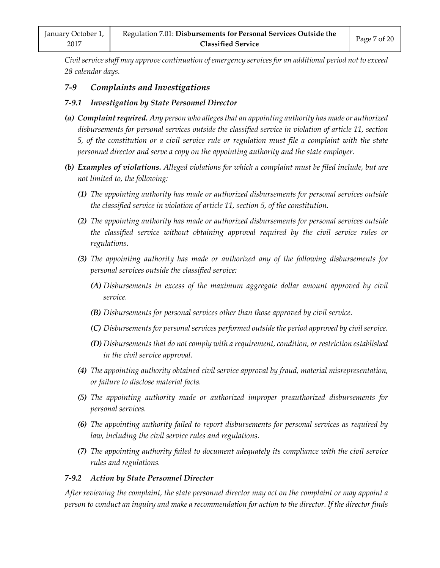*Civil service staff may approve continuation of emergency services for an additional period not to exceed 28 calendar days.*

#### *7-9 Complaints and Investigations*

#### *7-9.1 Investigation by State Personnel Director*

- *(a) Complaint required. Any person who alleges that an appointing authority has made or authorized disbursements for personal services outside the classified service in violation of article 11, section 5, of the constitution or a civil service rule or regulation must file a complaint with the state personnel director and serve a copy on the appointing authority and the state employer.*
- *(b) Examples of violations. Alleged violations for which a complaint must be filed include, but are not limited to, the following:*
	- *(1) The appointing authority has made or authorized disbursements for personal services outside the classified service in violation of article 11, section 5, of the constitution.*
	- *(2) The appointing authority has made or authorized disbursements for personal services outside the classified service without obtaining approval required by the civil service rules or regulations.*
	- *(3) The appointing authority has made or authorized any of the following disbursements for personal services outside the classified service:*
		- *(A) Disbursements in excess of the maximum aggregate dollar amount approved by civil service.*
		- *(B) Disbursements for personal services other than those approved by civil service.*
		- *(C) Disbursements for personal services performed outside the period approved by civil service.*
		- *(D) Disbursements that do not comply with a requirement, condition, or restriction established in the civil service approval.*
	- *(4) The appointing authority obtained civil service approval by fraud, material misrepresentation, or failure to disclose material facts.*
	- *(5) The appointing authority made or authorized improper preauthorized disbursements for personal services.*
	- *(6) The appointing authority failed to report disbursements for personal services as required by law, including the civil service rules and regulations.*
	- *(7) The appointing authority failed to document adequately its compliance with the civil service rules and regulations.*

#### *7-9.2 Action by State Personnel Director*

*After reviewing the complaint, the state personnel director may act on the complaint or may appoint a person to conduct an inquiry and make a recommendation for action to the director. If the director finds*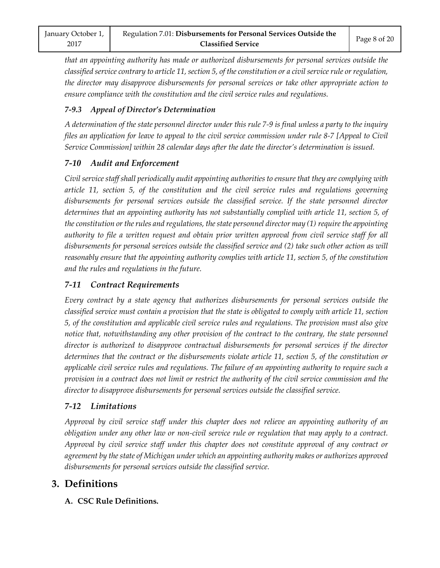*that an appointing authority has made or authorized disbursements for personal services outside the classified service contrary to article 11, section 5, of the constitution or a civil service rule or regulation, the director may disapprove disbursements for personal services or take other appropriate action to ensure compliance with the constitution and the civil service rules and regulations.*

## *7-9.3 Appeal of Director's Determination*

*A determination of the state personnel director under this rule 7-9 is final unless a party to the inquiry files an application for leave to appeal to the civil service commission under rule 8-7 [Appeal to Civil Service Commission] within 28 calendar days after the date the director's determination is issued.*

# *7-10 Audit and Enforcement*

*Civil service staff shall periodically audit appointing authorities to ensure that they are complying with article 11, section 5, of the constitution and the civil service rules and regulations governing disbursements for personal services outside the classified service. If the state personnel director determines that an appointing authority has not substantially complied with article 11, section 5, of the constitution or the rules and regulations, the state personnel director may (1) require the appointing authority to file a written request and obtain prior written approval from civil service staff for all disbursements for personal services outside the classified service and (2) take such other action as will reasonably ensure that the appointing authority complies with article 11, section 5, of the constitution and the rules and regulations in the future.*

# *7-11 Contract Requirements*

*Every contract by a state agency that authorizes disbursements for personal services outside the classified service must contain a provision that the state is obligated to comply with article 11, section 5, of the constitution and applicable civil service rules and regulations. The provision must also give notice that, notwithstanding any other provision of the contract to the contrary, the state personnel director is authorized to disapprove contractual disbursements for personal services if the director determines that the contract or the disbursements violate article 11, section 5, of the constitution or applicable civil service rules and regulations. The failure of an appointing authority to require such a provision in a contract does not limit or restrict the authority of the civil service commission and the director to disapprove disbursements for personal services outside the classified service.*

# *7-12 Limitations*

*Approval by civil service staff under this chapter does not relieve an appointing authority of an obligation under any other law or non-civil service rule or regulation that may apply to a contract. Approval by civil service staff under this chapter does not constitute approval of any contract or agreement by the state of Michigan under which an appointing authority makes or authorizes approved disbursements for personal services outside the classified service.*

# **3. Definitions**

**A. CSC Rule Definitions.**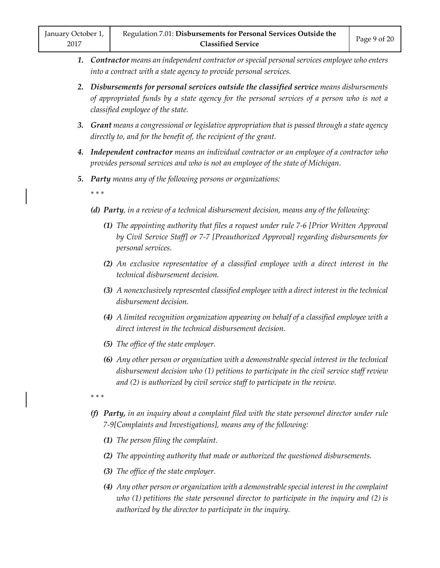- *1. Contractor means an independent contractor or special personal services employee who enters into a contract with a state agency to provide personal services.*
- *2. Disbursements for personal services outside the classified service means disbursements of appropriated funds by a state agency for the personal services of a person who is not a classified employee of the state.*
- *3. Grant means a congressional or legislative appropriation that is passed through a state agency directly to, and for the benefit of, the recipient of the grant.*
- *4. Independent contractor means an individual contractor or an employee of a contractor who provides personal services and who is not an employee of the state of Michigan.*
- *5. Party means any of the following persons or organizations:*

*\* \* \**

- *(d) Party, in a review of a technical disbursement decision, means any of the following:*
	- *(1) The appointing authority that files a request under rule 7-6 [Prior Written Approval by Civil Service Staff] or 7-7 [Preauthorized Approval] regarding disbursements for personal services.*
	- *(2) An exclusive representative of a classified employee with a direct interest in the technical disbursement decision.*
	- *(3) A nonexclusively represented classified employee with a direct interest in the technical disbursement decision.*
	- *(4) A limited recognition organization appearing on behalf of a classified employee with a direct interest in the technical disbursement decision.*
	- *(5) The office of the state employer.*
	- *(6) Any other person or organization with a demonstrable special interest in the technical disbursement decision who (1) petitions to participate in the civil service staff review and (2) is authorized by civil service staff to participate in the review.*
- *\* \* \**
- *(f) Party, in an inquiry about a complaint filed with the state personnel director under rule 7-9[Complaints and Investigations], means any of the following:*
	- *(1) The person filing the complaint.*
	- *(2) The appointing authority that made or authorized the questioned disbursements.*
	- *(3) The office of the state employer.*
	- *(4) Any other person or organization with a demonstrable special interest in the complaint who (1) petitions the state personnel director to participate in the inquiry and (2) is authorized by the director to participate in the inquiry.*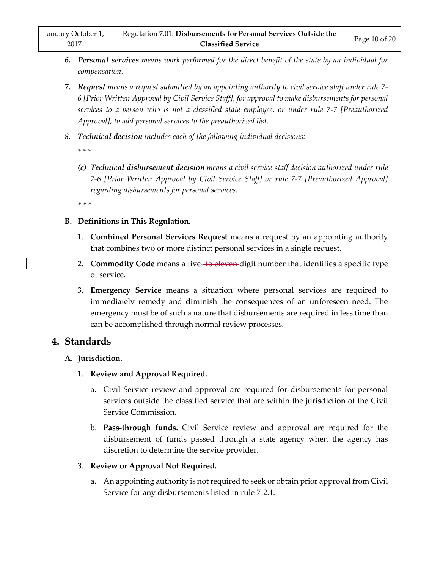- *6. Personal services means work performed for the direct benefit of the state by an individual for compensation.*
- *7. Request means a request submitted by an appointing authority to civil service staff under rule 7- 6 [Prior Written Approval by Civil Service Staff], for approval to make disbursements for personal services to a person who is not a classified state employee, or under rule 7-7 [Preauthorized Approval], to add personal services to the preauthorized list.*
- *8. Technical decision includes each of the following individual decisions:*

*\* \* \** 

*(c) Technical disbursement decision means a civil service staff decision authorized under rule 7-6 [Prior Written Approval by Civil Service Staff] or rule 7-7 [Preauthorized Approval] regarding disbursements for personal services.*

*\* \* \** 

- **B. Definitions in This Regulation.**
	- 1. **Combined Personal Services Request** means a request by an appointing authority that combines two or more distinct personal services in a single request.
	- 2. **Commodity Code** means a five-to eleven digit number that identifies a specific type of service.
	- 3. **Emergency Service** means a situation where personal services are required to immediately remedy and diminish the consequences of an unforeseen need. The emergency must be of such a nature that disbursements are required in less time than can be accomplished through normal review processes.

# **4. Standards**

#### **A. Jurisdiction.**

- 1. **Review and Approval Required.**
	- a. Civil Service review and approval are required for disbursements for personal services outside the classified service that are within the jurisdiction of the Civil Service Commission.
	- b. **Pass-through funds.** Civil Service review and approval are required for the disbursement of funds passed through a state agency when the agency has discretion to determine the service provider.

#### 3. **Review or Approval Not Required.**

a. An appointing authority is not required to seek or obtain prior approval from Civil Service for any disbursements listed in rule 7-2.1.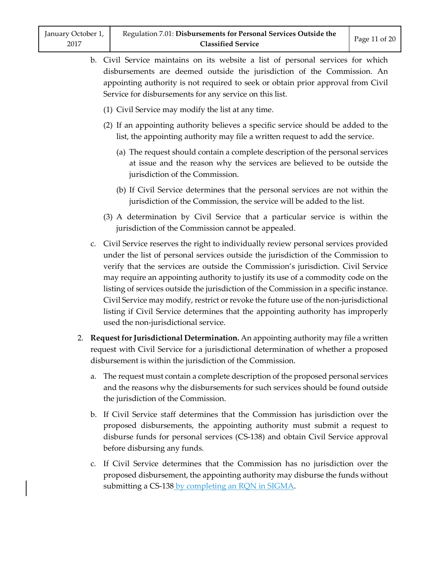- b. Civil Service maintains on its website a list of personal services for which disbursements are deemed outside the jurisdiction of the Commission. An appointing authority is not required to seek or obtain prior approval from Civil Service for disbursements for any service on this list.
	- (1) Civil Service may modify the list at any time.
	- (2) If an appointing authority believes a specific service should be added to the list, the appointing authority may file a written request to add the service.
		- (a) The request should contain a complete description of the personal services at issue and the reason why the services are believed to be outside the jurisdiction of the Commission.
		- (b) If Civil Service determines that the personal services are not within the jurisdiction of the Commission, the service will be added to the list.
	- (3) A determination by Civil Service that a particular service is within the jurisdiction of the Commission cannot be appealed.
- c. Civil Service reserves the right to individually review personal services provided under the list of personal services outside the jurisdiction of the Commission to verify that the services are outside the Commission's jurisdiction. Civil Service may require an appointing authority to justify its use of a commodity code on the listing of services outside the jurisdiction of the Commission in a specific instance. Civil Service may modify, restrict or revoke the future use of the non-jurisdictional listing if Civil Service determines that the appointing authority has improperly used the non-jurisdictional service.
- 2. **Request for Jurisdictional Determination.** An appointing authority may file a written request with Civil Service for a jurisdictional determination of whether a proposed disbursement is within the jurisdiction of the Commission.
	- a. The request must contain a complete description of the proposed personal services and the reasons why the disbursements for such services should be found outside the jurisdiction of the Commission.
	- b. If Civil Service staff determines that the Commission has jurisdiction over the proposed disbursements, the appointing authority must submit a request to disburse funds for personal services (CS-138) and obtain Civil Service approval before disbursing any funds.
	- c. If Civil Service determines that the Commission has no jurisdiction over the proposed disbursement, the appointing authority may disburse the funds without submitting a CS-138 by completing an RQN in SIGMA.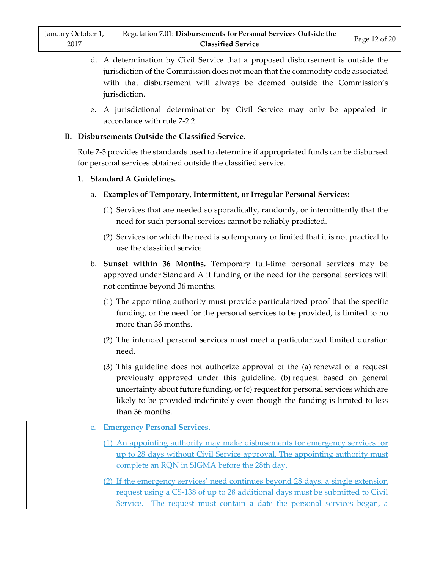- d. A determination by Civil Service that a proposed disbursement is outside the jurisdiction of the Commission does not mean that the commodity code associated with that disbursement will always be deemed outside the Commission's jurisdiction.
- e. A jurisdictional determination by Civil Service may only be appealed in accordance with rule 7-2.2.

#### **B. Disbursements Outside the Classified Service.**

Rule 7-3 provides the standards used to determine if appropriated funds can be disbursed for personal services obtained outside the classified service.

#### 1. **Standard A Guidelines.**

- a. **Examples of Temporary, Intermittent, or Irregular Personal Services:**
	- (1) Services that are needed so sporadically, randomly, or intermittently that the need for such personal services cannot be reliably predicted.
	- (2) Services for which the need is so temporary or limited that it is not practical to use the classified service.
- b. **Sunset within 36 Months.** Temporary full-time personal services may be approved under Standard A if funding or the need for the personal services will not continue beyond 36 months.
	- (1) The appointing authority must provide particularized proof that the specific funding, or the need for the personal services to be provided, is limited to no more than 36 months.
	- (2) The intended personal services must meet a particularized limited duration need.
	- (3) This guideline does not authorize approval of the (a) renewal of a request previously approved under this guideline, (b) request based on general uncertainty about future funding, or (c) request for personal services which are likely to be provided indefinitely even though the funding is limited to less than 36 months.
- c. **Emergency Personal Services.**
	- (1) An appointing authority may make disbusements for emergency services for up to 28 days without Civil Service approval. The appointing authority must complete an RQN in SIGMA before the 28th day.
	- (2) If the emergency services' need continues beyond 28 days, a single extension request using a CS-138 of up to 28 additional days must be submitted to Civil Service. The request must contain a date the personal services began, a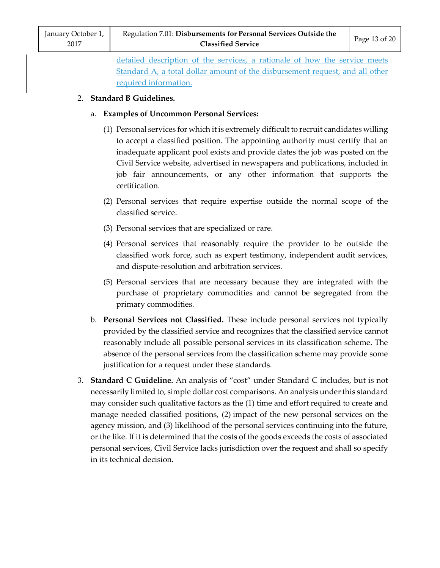detailed description of the services, a rationale of how the service meets Standard A, a total dollar amount of the disbursement request, and all other required information.

# 2. **Standard B Guidelines.**

## a. **Examples of Uncommon Personal Services:**

- (1) Personal services for which it is extremely difficult to recruit candidates willing to accept a classified position. The appointing authority must certify that an inadequate applicant pool exists and provide dates the job was posted on the Civil Service website, advertised in newspapers and publications, included in job fair announcements, or any other information that supports the certification.
- (2) Personal services that require expertise outside the normal scope of the classified service.
- (3) Personal services that are specialized or rare.
- (4) Personal services that reasonably require the provider to be outside the classified work force, such as expert testimony, independent audit services, and dispute-resolution and arbitration services.
- (5) Personal services that are necessary because they are integrated with the purchase of proprietary commodities and cannot be segregated from the primary commodities.
- b. **Personal Services not Classified.** These include personal services not typically provided by the classified service and recognizes that the classified service cannot reasonably include all possible personal services in its classification scheme. The absence of the personal services from the classification scheme may provide some justification for a request under these standards.
- 3. **Standard C Guideline.** An analysis of "cost" under Standard C includes, but is not necessarily limited to, simple dollar cost comparisons. An analysis under this standard may consider such qualitative factors as the (1) time and effort required to create and manage needed classified positions, (2) impact of the new personal services on the agency mission, and (3) likelihood of the personal services continuing into the future, or the like. If it is determined that the costs of the goods exceeds the costs of associated personal services, Civil Service lacks jurisdiction over the request and shall so specify in its technical decision.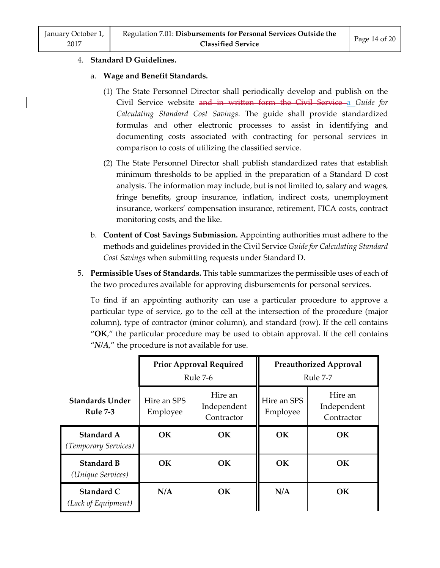#### 4. **Standard D Guidelines.**

#### a. **Wage and Benefit Standards.**

- (1) The State Personnel Director shall periodically develop and publish on the Civil Service website and in written form the Civil Service a *Guide for Calculating Standard Cost Savings*. The guide shall provide standardized formulas and other electronic processes to assist in identifying and documenting costs associated with contracting for personal services in comparison to costs of utilizing the classified service.
- (2) The State Personnel Director shall publish standardized rates that establish minimum thresholds to be applied in the preparation of a Standard D cost analysis. The information may include, but is not limited to, salary and wages, fringe benefits, group insurance, inflation, indirect costs, unemployment insurance, workers' compensation insurance, retirement, FICA costs, contract monitoring costs, and the like.
- b. **Content of Cost Savings Submission.** Appointing authorities must adhere to the methods and guidelines provided in the Civil Service *Guide for Calculating Standard Cost Savings* when submitting requests under Standard D.
- 5. **Permissible Uses of Standards.** This table summarizes the permissible uses of each of the two procedures available for approving disbursements for personal services.

To find if an appointing authority can use a particular procedure to approve a particular type of service, go to the cell at the intersection of the procedure (major column), type of contractor (minor column), and standard (row). If the cell contains "**OK**," the particular procedure may be used to obtain approval. If the cell contains "*N/A*," the procedure is not available for use.

|                                           | <b>Prior Approval Required</b><br>Rule 7-6 |                                      | <b>Preauthorized Approval</b><br>Rule 7-7 |                                      |
|-------------------------------------------|--------------------------------------------|--------------------------------------|-------------------------------------------|--------------------------------------|
| <b>Standards Under</b><br><b>Rule 7-3</b> | Hire an SPS<br>Employee                    | Hire an<br>Independent<br>Contractor | Hire an SPS<br>Employee                   | Hire an<br>Independent<br>Contractor |
| Standard A<br>(Temporary Services)        | <b>OK</b>                                  | <b>OK</b>                            | OK                                        | <b>OK</b>                            |
| <b>Standard B</b><br>(Unique Services)    | OK.                                        | OК                                   | OK                                        | <b>OK</b>                            |
| Standard C<br>(Lack of Equipment)         | N/A                                        | <b>OK</b>                            | N/A                                       | <b>OK</b>                            |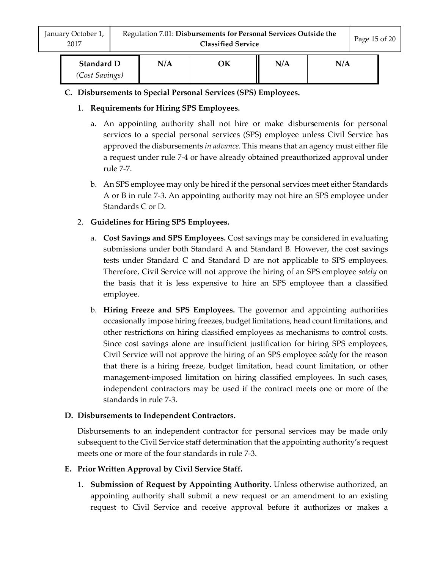| <b>Standard D</b> | N/A | ЭK | N/A | N/A |  |
|-------------------|-----|----|-----|-----|--|
| (Cost Savings)    |     |    |     |     |  |

- **C. Disbursements to Special Personal Services (SPS) Employees.**
	- 1. **Requirements for Hiring SPS Employees.**
		- a. An appointing authority shall not hire or make disbursements for personal services to a special personal services (SPS) employee unless Civil Service has approved the disbursements *in advance*. This means that an agency must either file a request under rule 7-4 or have already obtained preauthorized approval under rule 7-7.
		- b. An SPS employee may only be hired if the personal services meet either Standards A or B in rule 7-3. An appointing authority may not hire an SPS employee under Standards C or D.
	- 2. **Guidelines for Hiring SPS Employees.**
		- a. **Cost Savings and SPS Employees.** Cost savings may be considered in evaluating submissions under both Standard A and Standard B. However, the cost savings tests under Standard C and Standard D are not applicable to SPS employees. Therefore, Civil Service will not approve the hiring of an SPS employee *solely* on the basis that it is less expensive to hire an SPS employee than a classified employee.
		- b. **Hiring Freeze and SPS Employees.** The governor and appointing authorities occasionally impose hiring freezes, budget limitations, head count limitations, and other restrictions on hiring classified employees as mechanisms to control costs. Since cost savings alone are insufficient justification for hiring SPS employees, Civil Service will not approve the hiring of an SPS employee *solely* for the reason that there is a hiring freeze, budget limitation, head count limitation, or other management-imposed limitation on hiring classified employees. In such cases, independent contractors may be used if the contract meets one or more of the standards in rule 7-3.

# **D. Disbursements to Independent Contractors.**

Disbursements to an independent contractor for personal services may be made only subsequent to the Civil Service staff determination that the appointing authority's request meets one or more of the four standards in rule 7-3.

- **E. Prior Written Approval by Civil Service Staff.**
	- 1. **Submission of Request by Appointing Authority.** Unless otherwise authorized, an appointing authority shall submit a new request or an amendment to an existing request to Civil Service and receive approval before it authorizes or makes a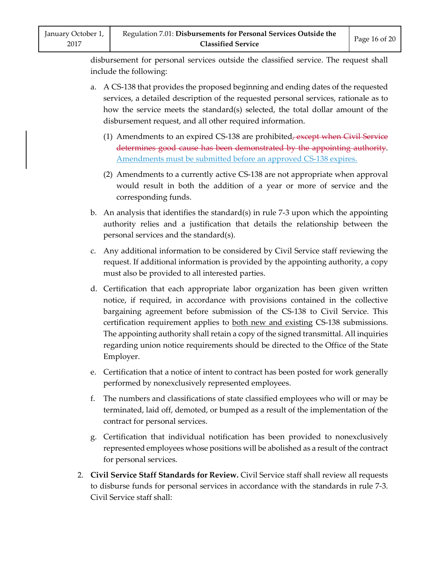disbursement for personal services outside the classified service. The request shall include the following:

- a. A CS-138 that provides the proposed beginning and ending dates of the requested services, a detailed description of the requested personal services, rationale as to how the service meets the standard(s) selected, the total dollar amount of the disbursement request, and all other required information.
	- (1) Amendments to an expired CS-138 are prohibited<del>, except when Civil Service</del> determines good cause has been demonstrated by the appointing authority. Amendments must be submitted before an approved CS-138 expires.
	- (2) Amendments to a currently active CS-138 are not appropriate when approval would result in both the addition of a year or more of service and the corresponding funds.
- b. An analysis that identifies the standard(s) in rule 7-3 upon which the appointing authority relies and a justification that details the relationship between the personal services and the standard(s).
- c. Any additional information to be considered by Civil Service staff reviewing the request. If additional information is provided by the appointing authority, a copy must also be provided to all interested parties.
- d. Certification that each appropriate labor organization has been given written notice, if required, in accordance with provisions contained in the collective bargaining agreement before submission of the CS-138 to Civil Service. This certification requirement applies to **both new and existing CS-138** submissions. The appointing authority shall retain a copy of the signed transmittal. All inquiries regarding union notice requirements should be directed to the Office of the State Employer.
- e. Certification that a notice of intent to contract has been posted for work generally performed by nonexclusively represented employees.
- f. The numbers and classifications of state classified employees who will or may be terminated, laid off, demoted, or bumped as a result of the implementation of the contract for personal services.
- g. Certification that individual notification has been provided to nonexclusively represented employees whose positions will be abolished as a result of the contract for personal services.
- 2. **Civil Service Staff Standards for Review.** Civil Service staff shall review all requests to disburse funds for personal services in accordance with the standards in rule 7-3. Civil Service staff shall: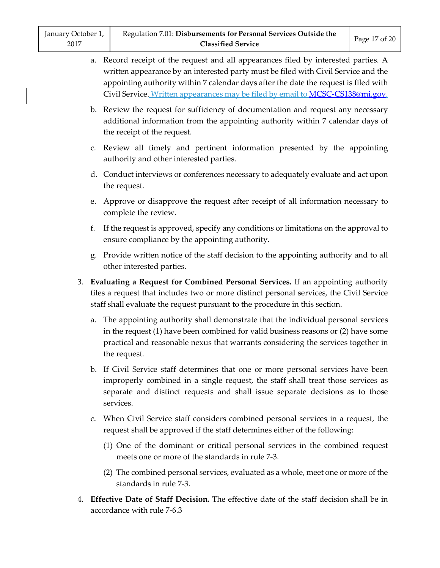- a. Record receipt of the request and all appearances filed by interested parties. A written appearance by an interested party must be filed with Civil Service and the appointing authority within 7 calendar days after the date the request is filed with Civil Service. Written appearances may be filed by email to [MCSC-CS138@mi.gov.](mailto:MCSC-CS138@mi.gov)
- b. Review the request for sufficiency of documentation and request any necessary additional information from the appointing authority within 7 calendar days of the receipt of the request.
- c. Review all timely and pertinent information presented by the appointing authority and other interested parties.
- d. Conduct interviews or conferences necessary to adequately evaluate and act upon the request.
- e. Approve or disapprove the request after receipt of all information necessary to complete the review.
- f. If the request is approved, specify any conditions or limitations on the approval to ensure compliance by the appointing authority.
- g. Provide written notice of the staff decision to the appointing authority and to all other interested parties.
- 3. **Evaluating a Request for Combined Personal Services.** If an appointing authority files a request that includes two or more distinct personal services, the Civil Service staff shall evaluate the request pursuant to the procedure in this section.
	- a. The appointing authority shall demonstrate that the individual personal services in the request (1) have been combined for valid business reasons or (2) have some practical and reasonable nexus that warrants considering the services together in the request.
	- b. If Civil Service staff determines that one or more personal services have been improperly combined in a single request, the staff shall treat those services as separate and distinct requests and shall issue separate decisions as to those services.
	- c. When Civil Service staff considers combined personal services in a request, the request shall be approved if the staff determines either of the following:
		- (1) One of the dominant or critical personal services in the combined request meets one or more of the standards in rule 7-3.
		- (2) The combined personal services, evaluated as a whole, meet one or more of the standards in rule 7-3.
- 4. **Effective Date of Staff Decision.** The effective date of the staff decision shall be in accordance with rule 7-6.3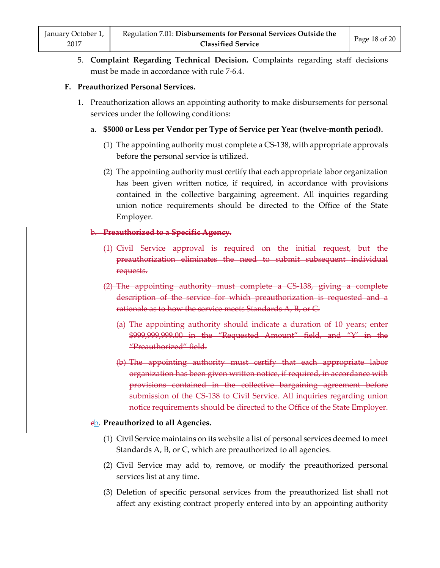5. **Complaint Regarding Technical Decision.** Complaints regarding staff decisions must be made in accordance with rule 7-6.4.

#### **F. Preauthorized Personal Services.**

- 1. Preauthorization allows an appointing authority to make disbursements for personal services under the following conditions:
	- a. **\$5000 or Less per Vendor per Type of Service per Year (twelve-month period).**
		- (1) The appointing authority must complete a CS-138, with appropriate approvals before the personal service is utilized.
		- (2) The appointing authority must certify that each appropriate labor organization has been given written notice, if required, in accordance with provisions contained in the collective bargaining agreement. All inquiries regarding union notice requirements should be directed to the Office of the State Employer.

#### b. **Preauthorized to a Specific Agency.**

- (1) Civil Service approval is required on the initial request, but the preauthorization eliminates the need to submit subsequent individual requests.
- (2) The appointing authority must complete a CS-138, giving a complete description of the service for which preauthorization is requested and a rationale as to how the service meets Standards A, B, or C.
	- (a) The appointing authority should indicate a duration of 10 years; enter \$999,999,999.00 in the "Requested Amount" field, and "Y' in the "Preauthorized" field.
	- (b) The appointing authority must certify that each appropriate labor organization has been given written notice, if required, in accordance with provisions contained in the collective bargaining agreement before submission of the CS 138 to Civil Service. All inquiries regarding union notice requirements should be directed to the Office of the State Employer.

#### **eb.** Preauthorized to all Agencies.

- (1) Civil Service maintains on its website a list of personal services deemed to meet Standards A, B, or C, which are preauthorized to all agencies.
- (2) Civil Service may add to, remove, or modify the preauthorized personal services list at any time.
- (3) Deletion of specific personal services from the preauthorized list shall not affect any existing contract properly entered into by an appointing authority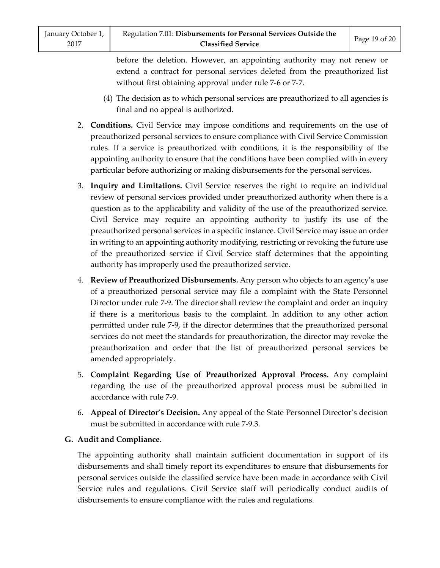before the deletion. However, an appointing authority may not renew or extend a contract for personal services deleted from the preauthorized list without first obtaining approval under rule 7-6 or 7-7.

- (4) The decision as to which personal services are preauthorized to all agencies is final and no appeal is authorized.
- 2. **Conditions.** Civil Service may impose conditions and requirements on the use of preauthorized personal services to ensure compliance with Civil Service Commission rules. If a service is preauthorized with conditions, it is the responsibility of the appointing authority to ensure that the conditions have been complied with in every particular before authorizing or making disbursements for the personal services.
- 3. **Inquiry and Limitations.** Civil Service reserves the right to require an individual review of personal services provided under preauthorized authority when there is a question as to the applicability and validity of the use of the preauthorized service. Civil Service may require an appointing authority to justify its use of the preauthorized personal services in a specific instance. Civil Service may issue an order in writing to an appointing authority modifying, restricting or revoking the future use of the preauthorized service if Civil Service staff determines that the appointing authority has improperly used the preauthorized service.
- 4. **Review of Preauthorized Disbursements.** Any person who objects to an agency's use of a preauthorized personal service may file a complaint with the State Personnel Director under rule 7-9. The director shall review the complaint and order an inquiry if there is a meritorious basis to the complaint. In addition to any other action permitted under rule 7-9, if the director determines that the preauthorized personal services do not meet the standards for preauthorization, the director may revoke the preauthorization and order that the list of preauthorized personal services be amended appropriately.
- 5. **Complaint Regarding Use of Preauthorized Approval Process.** Any complaint regarding the use of the preauthorized approval process must be submitted in accordance with rule 7-9.
- 6. **Appeal of Director's Decision.** Any appeal of the State Personnel Director's decision must be submitted in accordance with rule 7-9.3.

# **G. Audit and Compliance.**

The appointing authority shall maintain sufficient documentation in support of its disbursements and shall timely report its expenditures to ensure that disbursements for personal services outside the classified service have been made in accordance with Civil Service rules and regulations. Civil Service staff will periodically conduct audits of disbursements to ensure compliance with the rules and regulations.